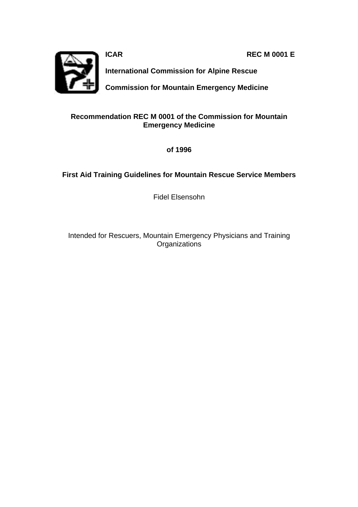**ICAR REC M 0001 E**



**International Commission for Alpine Rescue**

**Commission for Mountain Emergency Medicine**

#### **Recommendation REC M 0001 of the Commission for Mountain Emergency Medicine**

**of 1996**

#### **First Aid Training Guidelines for Mountain Rescue Service Members**

Fidel Elsensohn

Intended for Rescuers, Mountain Emergency Physicians and Training **Organizations**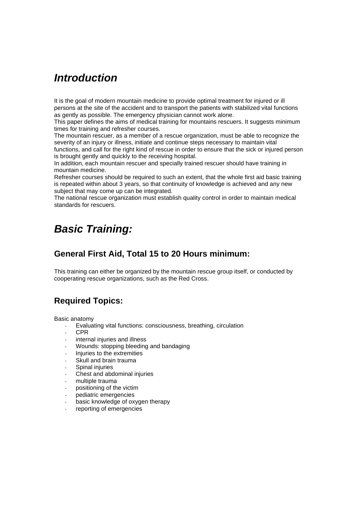## *Introduction*

It is the goal of modern mountain medicine to provide optimal treatment for injured or ill persons at the site of the accident and to transport the patients with stabilized vital functions as gently as possible. The emergency physician cannot work alone.

This paper defines the aims of medical training for mountains rescuers. It suggests minimum times for training and refresher courses.

The mountain rescuer, as a member of a rescue organization, must be able to recognize the severity of an injury or illness, initiate and continue steps necessary to maintain vital functions, and call for the right kind of rescue in order to ensure that the sick or injured person is brought gently and quickly to the receiving hospital.

In addition, each mountain rescuer and specially trained rescuer should have training in mountain medicine.

Refresher courses should be required to such an extent, that the whole first aid basic training is repeated within about 3 years, so that continuity of knowledge is achieved and any new subject that may come up can be integrated.

The national rescue organization must establish quality control in order to maintain medical standards for rescuers.

## *Basic Training:*

#### **General First Aid, Total 15 to 20 Hours minimum:**

This training can either be organized by the mountain rescue group itself, or conducted by cooperating rescue organizations, such as the Red Cross.

### **Required Topics:**

Basic anatomy

- Evaluating vital functions: consciousness, breathing, circulation
- CPR
- internal injuries and illness
- Wounds: stopping bleeding and bandaging
- Injuries to the extremities
- Skull and brain trauma
- Spinal injuries
- Chest and abdominal injuries
- multiple trauma
- positioning of the victim
- pediatric emergencies
- basic knowledge of oxygen therapy
- reporting of emergencies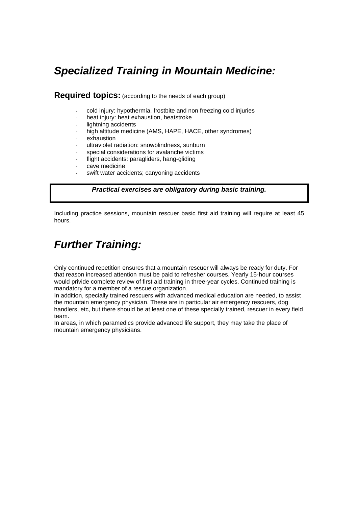## *Specialized Training in Mountain Medicine:*

**Required topics:** (according to the needs of each group)

- cold injury: hypothermia, frostbite and non freezing cold injuries
- heat injury: heat exhaustion, heatstroke
- lightning accidents
- high altitude medicine (AMS, HAPE, HACE, other syndromes)
- exhaustion
- ultraviolet radiation: snowblindness, sunburn
- special considerations for avalanche victims
- flight accidents: paragliders, hang-gliding
- cave medicine
- swift water accidents; canyoning accidents

#### *Practical exercises are obligatory during basic training.*

Including practice sessions, mountain rescuer basic first aid training will require at least 45 hours.

## *Further Training:*

Only continued repetition ensures that a mountain rescuer will always be ready for duty. For that reason increased attention must be paid to refresher courses. Yearly 15-hour courses would privide complete review of first aid training in three-year cycles. Continued training is mandatory for a member of a rescue organization.

In addition, specially trained rescuers with advanced medical education are needed, to assist the mountain emergency physician. These are in particular air emergency rescuers, dog handlers, etc, but there should be at least one of these specially trained, rescuer in every field team.

In areas, in which paramedics provide advanced life support, they may take the place of mountain emergency physicians.